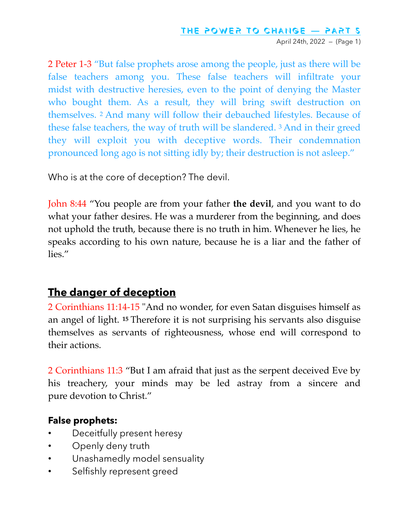April 24th, 2022 — (Page 1)

2 Peter 1-3 "But false prophets arose among the people, just as there will be false teachers among you. These false teachers will infiltrate your midst with destructive heresies, even to the point of denying the Master who bought them. As a result, they will bring swift destruction on themselves. <sup>2</sup> And many will follow their debauched lifestyles. Because of these false teachers, the way of truth will be slandered. <sup>3</sup> And in their greed they will exploit you with deceptive words. Their condemnation pronounced long ago is not sitting idly by; their destruction is not asleep."

Who is at the core of deception? The devil.

John 8:44 "You people are from your father **the devil**, and you want to do what your father desires. He was a murderer from the beginning, and does not uphold the truth, because there is no truth in him. Whenever he lies, he speaks according to his own nature, because he is a liar and the father of lies."

#### **The danger of deception**

2 Corinthians 11:14-15 "And no wonder, for even Satan disguises himself as an angel of light. **<sup>15</sup>** Therefore it is not surprising his servants also disguise themselves as servants of righteousness, whose end will correspond to their actions.

2 Corinthians 11:3 "But I am afraid that just as the serpent deceived Eve by his treachery, your minds may be led astray from a sincere and pure devotion to Christ."

#### **False prophets:**

- Deceitfully present heresy
- Openly deny truth
- Unashamedly model sensuality
- Selfishly represent greed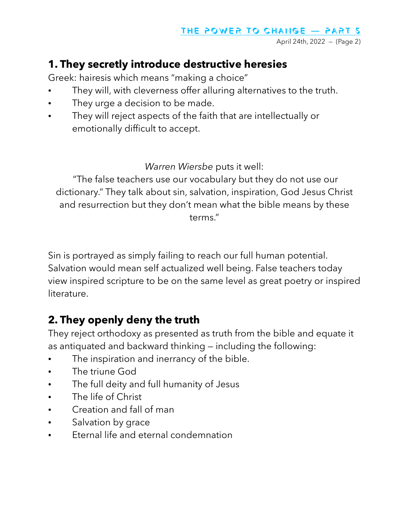April 24th, 2022 — (Page 2)

#### **1. They secretly introduce destructive heresies**

Greek: hairesis which means "making a choice"

- They will, with cleverness offer alluring alternatives to the truth.
- They urge a decision to be made.
- They will reject aspects of the faith that are intellectually or emotionally difficult to accept.

*Warren Wiersbe* puts it well:

 "The false teachers use our vocabulary but they do not use our dictionary." They talk about sin, salvation, inspiration, God Jesus Christ and resurrection but they don't mean what the bible means by these terms."

Sin is portrayed as simply failing to reach our full human potential. Salvation would mean self actualized well being. False teachers today view inspired scripture to be on the same level as great poetry or inspired literature.

# **2. They openly deny the truth**

They reject orthodoxy as presented as truth from the bible and equate it as antiquated and backward thinking — including the following:

- The inspiration and inerrancy of the bible.
- The triune God
- The full deity and full humanity of Jesus
- The life of Christ
- Creation and fall of man
- Salvation by grace
- Eternal life and eternal condemnation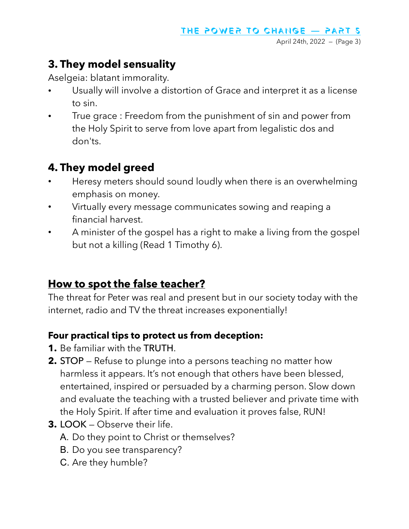## **3. They model sensuality**

Aselgeia: blatant immorality.

- Usually will involve a distortion of Grace and interpret it as a license to sin.
- True grace : Freedom from the punishment of sin and power from the Holy Spirit to serve from love apart from legalistic dos and don'ts.

# **4. They model greed**

- Heresy meters should sound loudly when there is an overwhelming emphasis on money.
- Virtually every message communicates sowing and reaping a financial harvest.
- A minister of the gospel has a right to make a living from the gospel but not a killing (Read 1 Timothy 6).

## **How to spot the false teacher?**

The threat for Peter was real and present but in our society today with the internet, radio and TV the threat increases exponentially!

#### **Four practical tips to protect us from deception:**

- **1.** Be familiar with the TRUTH.
- **2.** STOP Refuse to plunge into a persons teaching no matter how harmless it appears. It's not enough that others have been blessed, entertained, inspired or persuaded by a charming person. Slow down and evaluate the teaching with a trusted believer and private time with the Holy Spirit. If after time and evaluation it proves false, RUN!
- **3.** LOOK Observe their life.
	- A. Do they point to Christ or themselves?
	- B. Do you see transparency?
	- C. Are they humble?